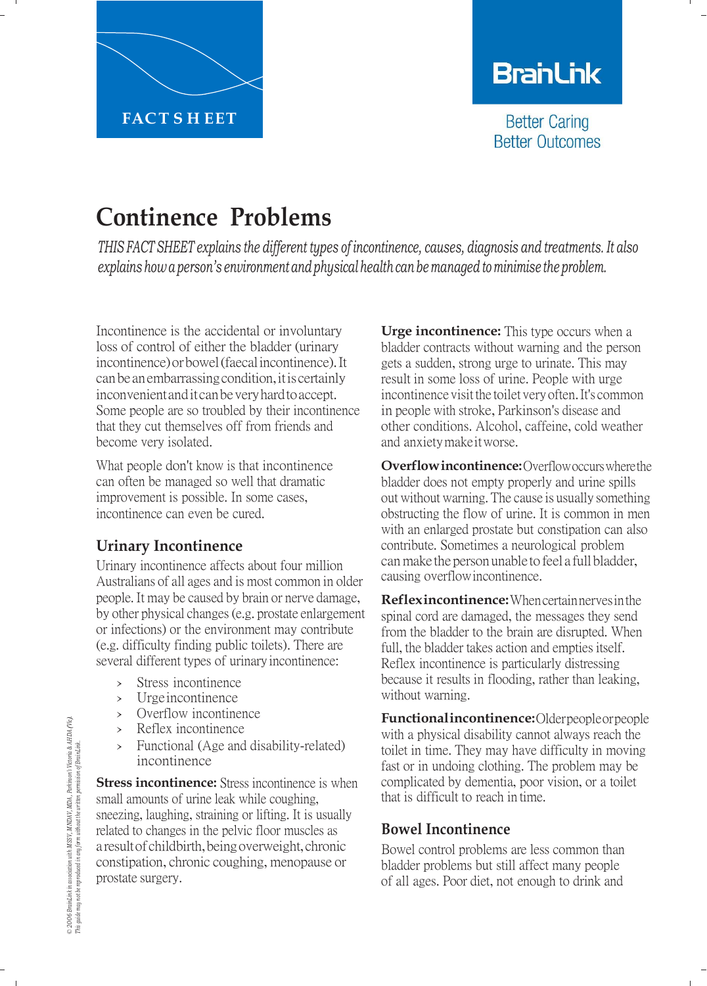

# **BranLink**

**Better Caring Better Outcomes** 

## **Continence Problems**

*THIS FACT SHEET explains the different types of incontinence, causes, diagnosis and treatments. It also explains how a person's environment and physical health can be managed to minimise the problem.*

Incontinence is the accidental or involuntary loss of control of either the bladder (urinary incontinence) orbowel (faecal incontinence). It canbe anembarrassing condition, itiscertainly inconvenient and it can be very hard to accept. Some people are so troubled by their incontinence that they cut themselves off from friends and become very isolated.

What people don't know is that incontinence can often be managed so well that dramatic improvement is possible. In some cases, incontinence can even be cured.

## **Urinary Incontinence**

Urinary incontinence affects about four million Australians of all ages and is most common in older people. It may be caused by brain or nerve damage, by other physical changes (e.g. prostate enlargement or infections) or the environment may contribute (e.g. difficulty finding public toilets). There are several different types of urinary incontinence:

- › Stress incontinence
- › Urgeincontinence
- › Overflow incontinence
- Reflex incontinence
- Functional (Age and disability-related) incontinence

**Stress incontinence:** Stress incontinence is when small amounts of urine leak while coughing, sneezing, laughing, straining or lifting. It is usually related to changes in the pelvic floor muscles as a resultof childbirth,beingoverweight,chronic constipation, chronic coughing, menopause or prostate surgery.

**Urge incontinence:** This type occurs when a bladder contracts without warning and the person gets a sudden, strong urge to urinate. This may result in some loss of urine. People with urge incontinence visit the toilet very often. It's common in people with stroke, Parkinson's disease and other conditions. Alcohol, caffeine, cold weather and anxiety make itworse.

**Overflow incontinence:** Overflow occurs where the bladder does not empty properly and urine spills out without warning. The cause is usually something obstructing the flow of urine. It is common in men with an enlarged prostate but constipation can also contribute. Sometimes a neurological problem canmake the person unable to feel a full bladder, causing overflow incontinence.

**Reflex incontinence:** When certain nerves inthe spinal cord are damaged, the messages they send from the bladder to the brain are disrupted. When full, the bladder takes action and empties itself. Reflex incontinence is particularly distressing because it results in flooding, rather than leaking, without warning.

**Functional incontinence:** Older people orpeople with a physical disability cannot always reach the toilet in time. They may have difficulty in moving fast or in undoing clothing. The problem may be complicated by dementia, poor vision, or a toilet that is difficult to reach in time.

### **Bowel Incontinence**

Bowel control problems are less common than bladder problems but still affect many people of all ages. Poor diet, not enough to drink and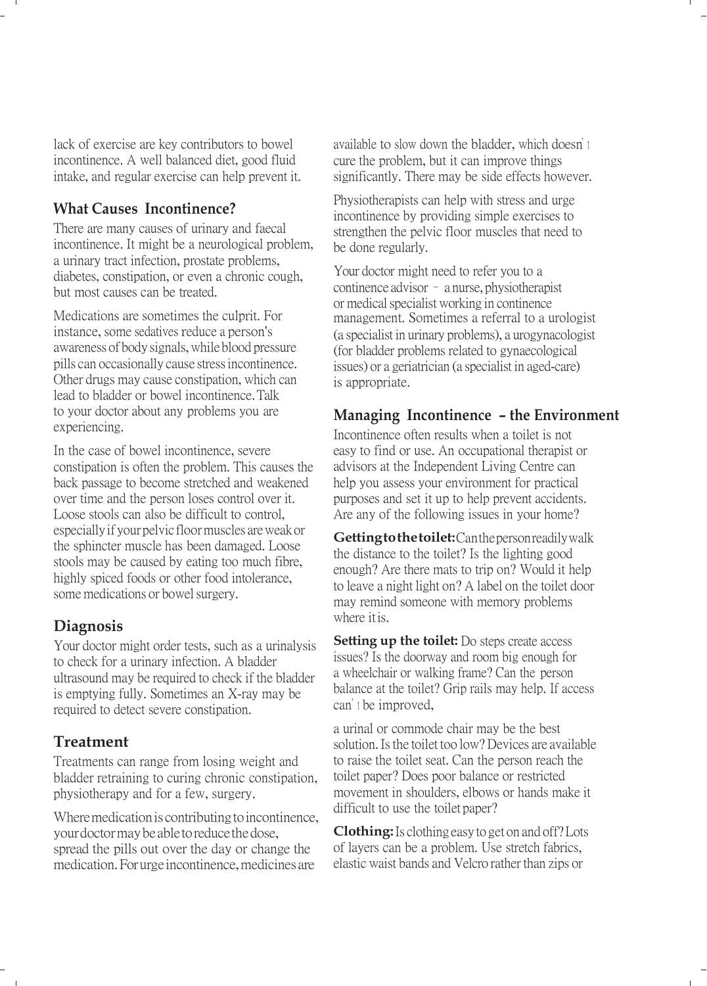lack of exercise are key contributors to bowel incontinence. A well balanced diet, good fluid intake, and regular exercise can help prevent it.

#### **What Causes Incontinence?**

There are many causes of urinary and faecal incontinence. It might be a neurological problem, a urinary tract infection, prostate problems, diabetes, constipation, or even a chronic cough, but most causes can be treated.

Medications are sometimes the culprit. For instance, some sedatives reduce a person's awareness of body signals, while blood pressure pills can occasionally cause stress incontinence. Other drugs may cause constipation, which can lead to bladder or bowel incontinence. Talk to your doctor about any problems you are experiencing.

In the case of bowel incontinence, severe constipation is often the problem. This causes the back passage to become stretched and weakened over time and the person loses control over it. Loose stools can also be difficult to control, especially if your pelvic floor muscles are weak or the sphincter muscle has been damaged. Loose stools may be caused by eating too much fibre, highly spiced foods or other food intolerance, some medications or bowel surgery.

#### **Diagnosis**

Your doctor might order tests, such as a urinalysis to check for a urinary infection. A bladder ultrasound may be required to check if the bladder is emptying fully. Sometimes an X-ray may be required to detect severe constipation.

#### **Treatment**

Treatments can range from losing weight and bladder retraining to curing chronic constipation, physiotherapy and for a few, surgery.

Where medication is contributing to incontinence, your doctor may beable toreduce thedose, spread the pills out over the day or change the medication. For urge incontinence, medicines are

available to slow down the bladder, which doesn't cure the problem, but it can improve things significantly. There may be side effects however.

Physiotherapists can help with stress and urge incontinence by providing simple exercises to strengthen the pelvic floor muscles that need to be done regularly.

Your doctor might need to refer you to a continence advisor– a nurse, physiotherapist or medical specialist working in continence management. Sometimes a referral to a urologist (a specialist in urinary problems), a urogynacologist (for bladder problems related to gynaecological issues) or a geriatrician (a specialist in aged-care) is appropriate.

#### **Managing Incontinence – the Environment**

Incontinence often results when a toilet is not easy to find or use. An occupational therapist or advisors at the Independent Living Centre can help you assess your environment for practical purposes and set it up to help prevent accidents. Are any of the following issues in your home?

**Gettingtothetoilet:**Canthepersonreadilywalk the distance to the toilet? Is the lighting good enough? Are there mats to trip on? Would it help to leave a night light on? A label on the toilet door may remind someone with memory problems where itis.

**Setting up the toilet:** Do steps create access issues? Is the doorway and room big enough for a wheelchair or walking frame? Can the person balance at the toilet? Grip rails may help. If access can't be improved,

a urinal or commode chair may be the best solution. Is the toilet too low? Devices are available to raise the toilet seat. Can the person reach the toilet paper? Does poor balance or restricted movement in shoulders, elbows or hands make it difficult to use the toilet paper?

**Clothing:**Is clothing easy to get on and off?Lots of layers can be a problem. Use stretch fabrics, elastic waist bands and Velcro rather than zips or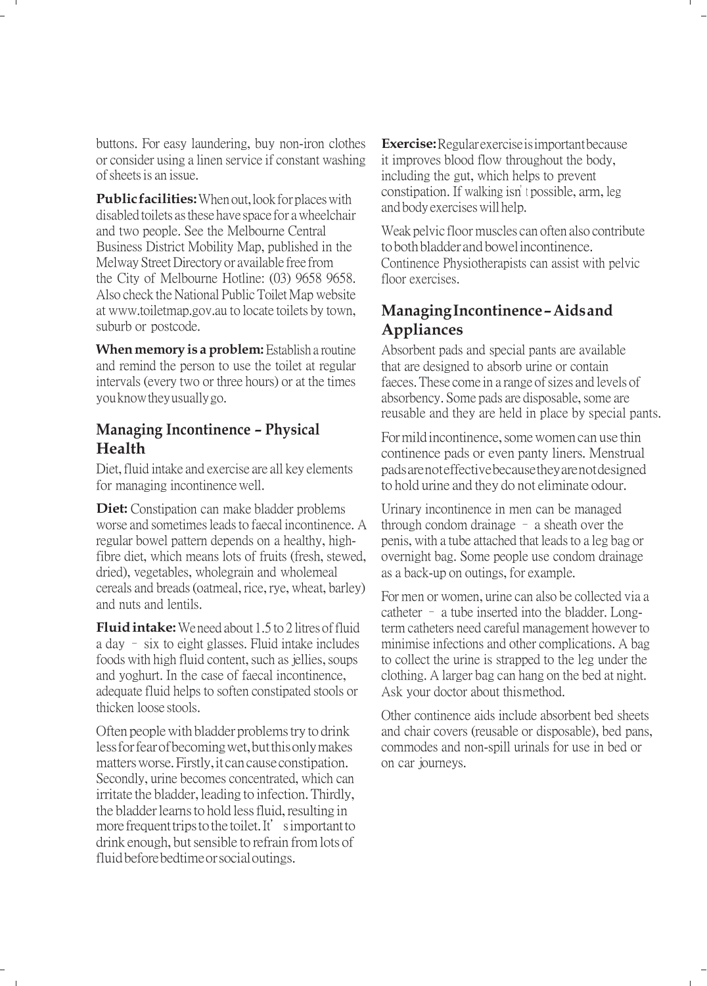buttons. For easy laundering, buy non-iron clothes or consider using a linen service if constant washing ofsheetsis an issue.

**Public facilities:** When out, look for places with disabled toilets asthese have space for awheelchair and two people. See the Melbourne Central Business District Mobility Map, published in the Melway Street Directory or available free from the City of Melbourne Hotline: (03) 9658 9658. Also check the National Public Toilet Map website at [www.toiletmap.gov.au](http://www.toiletmap.gov.au/) to locate toilets by town, suburb or postcode.

**When memory is a problem:** Establish a routine and remind the person to use the toilet at regular intervals (every two or three hours) or at the times youknowtheyusuallygo.

## **Managing Incontinence – Physical Health**

Diet, fluid intake and exercise are all key elements for managing incontinencewell.

**Diet:** Constipation can make bladder problems worse and sometimes leads to faecal incontinence. A regular bowel pattern depends on a healthy, highfibre diet, which means lots of fruits (fresh, stewed, dried), vegetables, wholegrain and wholemeal cereals and breads(oatmeal, rice, rye, wheat, barley) and nuts and lentils.

**Fluid intake:** We need about 1.5 to 2 litres of fluid a day – six to eight glasses. Fluid intake includes foods with high fluid content, such as jellies, soups and yoghurt. In the case of faecal incontinence, adequate fluid helps to soften constipated stools or thicken loose stools.

Often peoplewith bladder problemstry to drink less for fear of becoming wet, but this only makes matters worse. Firstly, it can cause constipation. Secondly, urine becomes concentrated, which can irritate the bladder, leading to infection. Thirdly, the bladder learns to hold less fluid, resulting in more frequent trips to the toilet. It' simportant to drink enough, but sensible to refrain from lots of fluidbeforebedtimeorsocialoutings.

**Exercise:**Regularexerciseisimportantbecause it improves blood flow throughout the body, including the gut, which helps to prevent constipation. If walking isn'<sup>t</sup> possible, arm, leg and body exercises will help.

Weak pelvic floor muscles can often also contribute to both bladder and bowel incontinence. Continence Physiotherapists can assist with pelvic floor exercises.

## **ManagingIncontinence–Aidsand Appliances**

Absorbent pads and special pants are available that are designed to absorb urine or contain faeces. These come in a range of sizes and levels of absorbency. Some pads are disposable, some are reusable and they are held in place by special pants.

For mild incontinence, some women can use thin continence pads or even panty liners. Menstrual padsarenoteffectivebecausetheyarenotdesigned to hold urine and they do not eliminate odour.

Urinary incontinence in men can be managed through condom drainage – a sheath over the penis, with a tube attached that leadsto a leg bag or overnight bag. Some people use condom drainage as a back-up on outings, for example.

For men or women, urine can also be collected via a catheter – a tube inserted into the bladder. Longterm catheters need careful management however to minimise infections and other complications. A bag to collect the urine is strapped to the leg under the clothing. A larger bag can hang on the bed at night. Ask your doctor about thismethod.

Other continence aids include absorbent bed sheets and chair covers (reusable or disposable), bed pans, commodes and non-spill urinals for use in bed or on car journeys.